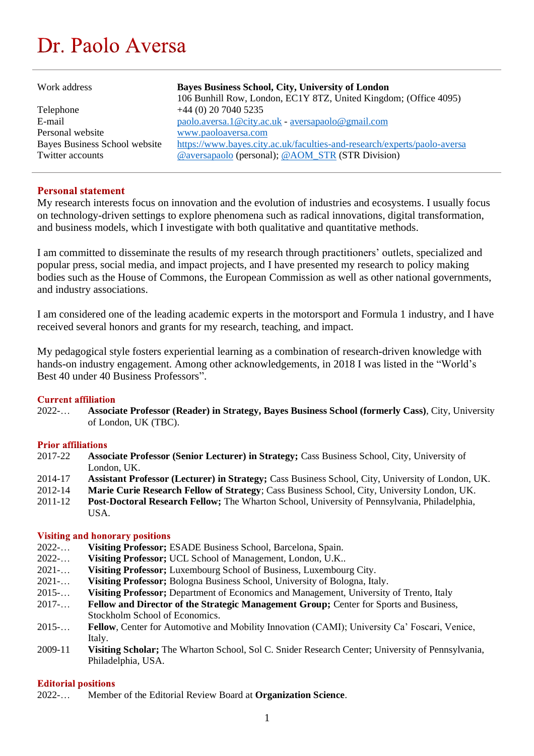# Dr. Paolo Aversa

| Work address                  | Bayes Business School, City, University of London<br>106 Bunhill Row, London, EC1Y 8TZ, United Kingdom; (Office 4095) |
|-------------------------------|-----------------------------------------------------------------------------------------------------------------------|
| Telephone                     | $+44$ (0) 20 7040 5235                                                                                                |
| E-mail                        | paolo.aversa.1@city.ac.uk - aversapaolo@gmail.com                                                                     |
| Personal website              | www.paoloaversa.com                                                                                                   |
| Bayes Business School website | https://www.bayes.city.ac.uk/faculties-and-research/experts/paolo-aversa                                              |
| Twitter accounts              | @aversapaolo (personal); @AOM_STR (STR Division)                                                                      |

# **Personal statement**

My research interests focus on innovation and the evolution of industries and ecosystems. I usually focus on technology-driven settings to explore phenomena such as radical innovations, digital transformation, and business models, which I investigate with both qualitative and quantitative methods.

I am committed to disseminate the results of my research through practitioners' outlets, specialized and popular press, social media, and impact projects, and I have presented my research to policy making bodies such as the House of Commons, the European Commission as well as other national governments, and industry associations.

I am considered one of the leading academic experts in the motorsport and Formula 1 industry, and I have received several honors and grants for my research, teaching, and impact.

My pedagogical style fosters experiential learning as a combination of research-driven knowledge with hands-on industry engagement. Among other acknowledgements, in 2018 I was listed in the "World's Best 40 under 40 Business Professors".

#### **Current affiliation**

2022-… **Associate Professor (Reader) in Strategy, Bayes Business School (formerly Cass)**, City, University of London, UK (TBC).

#### **Prior affiliations**

- 2017-22 **Associate Professor (Senior Lecturer) in Strategy;** Cass Business School, City, University of London, UK.
- 2014-17 **Assistant Professor (Lecturer) in Strategy; Cass Business School, City, University of London, UK.**<br>2012-14 **Marie Curie Research Fellow of Strategy: Cass Business School. City, University London, UK.**
- 2012-14 **Marie Curie Research Fellow of Strategy**; Cass Business School, City, University London, UK.
- 2011-12 **Post-Doctoral Research Fellow;** The Wharton School, University of Pennsylvania, Philadelphia, USA.

#### **Visiting and honorary positions**

- 2022-… **Visiting Professor;** ESADE Business School, Barcelona, Spain.
- 2022-… **Visiting Professor;** UCL School of Management, London, U.K..
- 2021-… **Visiting Professor;** Luxembourg School of Business, Luxembourg City.
- 2021-… **Visiting Professor;** Bologna Business School, University of Bologna, Italy.
- 2015-… **Visiting Professor;** Department of Economics and Management, University of Trento, Italy
- 2017-… **Fellow and Director of the Strategic Management Group;** Center for Sports and Business, Stockholm School of Economics.
- 2015-… **Fellow**, Center for Automotive and Mobility Innovation (CAMI); University Ca' Foscari, Venice, Italy.
- 2009-11 **Visiting Scholar;** The Wharton School, Sol C. Snider Research Center; University of Pennsylvania, Philadelphia, USA.

#### **Editorial positions**

2022-… Member of the Editorial Review Board at **Organization Science**.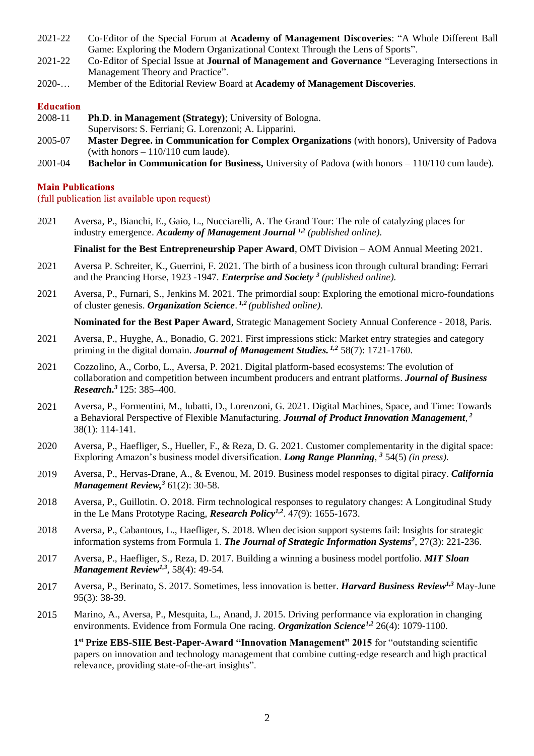- 2021-22 Co-Editor of the Special Forum at **Academy of Management Discoveries**: "A Whole Different Ball Game: Exploring the Modern Organizational Context Through the Lens of Sports".
- 2021-22 Co-Editor of Special Issue at **Journal of Management and Governance** "Leveraging Intersections in Management Theory and Practice".
- 2020-… Member of the Editorial Review Board at **Academy of Management Discoveries**.

#### **Education**

- 2008-11 **Ph**.**D**. **in Management (Strategy)**; University of Bologna. Supervisors: S. Ferriani; G. Lorenzoni; A. Lipparini.
- 2005-07 **Master Degree. in Communication for Complex Organizations** (with honors), University of Padova (with honors  $-110/110$  cum laude).
- 2001-04 **Bachelor in Communication for Business,** University of Padova (with honors 110/110 cum laude).

#### **Main Publications**

(full publication list available upon request)

2021 Aversa, P., Bianchi, E., Gaio, L., Nucciarelli, A. The Grand Tour: The role of catalyzing places for industry emergence. *Academy of Management Journal 1,2 (published online).*

**Finalist for the Best Entrepreneurship Paper Award**, OMT Division – AOM Annual Meeting 2021.

- 2021 Aversa P. Schreiter, K., Guerrini, F. 2021. The birth of a business icon through cultural branding: Ferrari and the Prancing Horse, 1923 -1947. *Enterprise and Society <sup>3</sup> (published online).*
- 2021 Aversa, P., Furnari, S., Jenkins M. 2021. The primordial soup: Exploring the emotional micro-foundations of cluster genesis. *Organization Science*. *1,2 (published online).*

**Nominated for the Best Paper Award**, Strategic Management Society Annual Conference - 2018, Paris.

- 2021 Aversa, P., Huyghe, A., Bonadio, G. 2021. First impressions stick: Market entry strategies and category priming in the digital domain. *Journal of Management Studies. 1,2* 58(7): 1721-1760.
- 2021 Cozzolino, A., Corbo, L., Aversa, P. 2021. Digital platform-based ecosystems: The evolution of collaboration and competition between incumbent producers and entrant platforms. *Journal of Business Research. <sup>3</sup>* 125: 385–400.
- 2021 Aversa, P., Formentini, M., Iubatti, D., Lorenzoni, G. 2021. Digital Machines, Space, and Time: Towards a Behavioral Perspective of Flexible Manufacturing. *Journal of Product Innovation Management*, *2* 38(1): 114-141.
- 2020 Aversa, P., Haefliger, S., Hueller, F., & Reza, D. G. 2021. Customer complementarity in the digital space: Exploring Amazon's business model diversification. *Long Range Planning*, *<sup>3</sup>* 54(5) *(in press).*
- 2019 Aversa, P., Hervas-Drane, A., & Evenou, M. 2019. Business model responses to digital piracy. *California Management Review, <sup>3</sup>* 61(2): 30-58.
- 2018 Aversa, P., Guillotin. O. 2018. Firm technological responses to regulatory changes: A Longitudinal Study in the Le Mans Prototype Racing, *Research Policy1,2* . 47(9): 1655-1673.
- 2018 Aversa, P., Cabantous, L., Haefliger, S. 2018. When decision support systems fail: Insights for strategic information systems from Formula 1. *The Journal of Strategic Information Systems<sup>2</sup>* , 27(3): 221-236.
- 2017 Aversa, P., Haefliger, S., Reza, D. 2017. Building a winning a business model portfolio. *MIT Sloan Management Review1,3*, 58(4): 49-54*.*
- 2017 Aversa, P., Berinato, S. 2017. Sometimes, less innovation is better. *Harvard Business Review1,3* May-June 95(3): 38-39.
- 2015 Marino, A., Aversa, P., Mesquita, L., Anand, J. 2015. Driving performance via exploration in changing environments. Evidence from Formula One racing. *Organization Science1,2* 26(4): 1079-1100.

**1 st Prize EBS-SIIE Best-Paper-Award "Innovation Management" 2015** for "outstanding scientific papers on innovation and technology management that combine cutting-edge research and high practical relevance, providing state-of-the-art insights".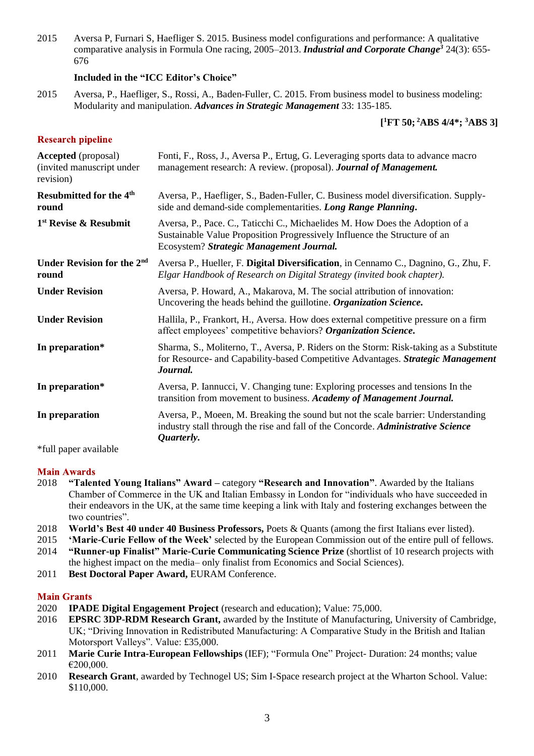2015 Aversa P, Furnari S, Haefliger S. 2015. Business model configurations and performance: A qualitative comparative analysis in Formula One racing, 2005–2013. *Industrial and Corporate Change <sup>3</sup>* 24(3): 655- 676

## **Included in the "ICC Editor's Choice"**

2015 Aversa, P., Haefliger, S., Rossi, A., Baden-Fuller, C. 2015. From business model to business modeling: Modularity and manipulation. *Advances in Strategic Management* 33: 135-185*.*

# **[ <sup>1</sup>FT 50; <sup>2</sup>ABS 4/4\*; <sup>3</sup>ABS 3]**

## **Research pipeline**

| Fonti, F., Ross, J., Aversa P., Ertug, G. Leveraging sports data to advance macro<br>management research: A review. (proposal). <b>Journal of Management.</b>                                         |
|-------------------------------------------------------------------------------------------------------------------------------------------------------------------------------------------------------|
| Aversa, P., Haefliger, S., Baden-Fuller, C. Business model diversification. Supply-<br>side and demand-side complementarities. Long Range Planning.                                                   |
| Aversa, P., Pace. C., Taticchi C., Michaelides M. How Does the Adoption of a<br>Sustainable Value Proposition Progressively Influence the Structure of an<br>Ecosystem? Strategic Management Journal. |
| Aversa P., Hueller, F. Digital Diversification, in Cennamo C., Dagnino, G., Zhu, F.<br>Elgar Handbook of Research on Digital Strategy (invited book chapter).                                         |
| Aversa, P. Howard, A., Makarova, M. The social attribution of innovation:<br>Uncovering the heads behind the guillotine. Organization Science.                                                        |
| Hallila, P., Frankort, H., Aversa. How does external competitive pressure on a firm<br>affect employees' competitive behaviors? Organization Science.                                                 |
| Sharma, S., Moliterno, T., Aversa, P. Riders on the Storm: Risk-taking as a Substitute<br>for Resource- and Capability-based Competitive Advantages. Strategic Management<br>Journal.                 |
| Aversa, P. Iannucci, V. Changing tune: Exploring processes and tensions In the<br>transition from movement to business. Academy of Management Journal.                                                |
| Aversa, P., Moeen, M. Breaking the sound but not the scale barrier: Understanding<br>industry stall through the rise and fall of the Concorde. Administrative Science<br>Quarterly.                   |
|                                                                                                                                                                                                       |

\*full paper available

#### **Main Awards**

- 2018 **"Talented Young Italians" Award –** category **"Research and Innovation"**. Awarded by the Italians Chamber of Commerce in the UK and Italian Embassy in London for "individuals who have succeeded in their endeavors in the UK, at the same time keeping a link with Italy and fostering exchanges between the two countries".
- 2018 **World's Best 40 under 40 Business Professors,** Poets & Quants (among the first Italians ever listed).
- 2015 **'Marie-Curie Fellow of the Week'** selected by the European Commission out of the entire pull of fellows.
- 2014 **"Runner-up Finalist" Marie-Curie Communicating Science Prize** (shortlist of 10 research projects with the highest impact on the media– only finalist from Economics and Social Sciences).
- 2011 **Best Doctoral Paper Award,** EURAM Conference.

#### **Main Grants**

- 2020 **IPADE Digital Engagement Project** (research and education); Value: 75,000.
- 2016 **EPSRC 3DP-RDM Research Grant,** awarded by the Institute of Manufacturing, University of Cambridge, UK; "Driving Innovation in Redistributed Manufacturing: A Comparative Study in the British and Italian Motorsport Valleys". Value: £35,000.
- 2011 **Marie Curie Intra-European Fellowships** (IEF); "Formula One" Project- Duration: 24 months; value €200,000.
- 2010 **Research Grant**, awarded by Technogel US; Sim I-Space research project at the Wharton School. Value: \$110,000.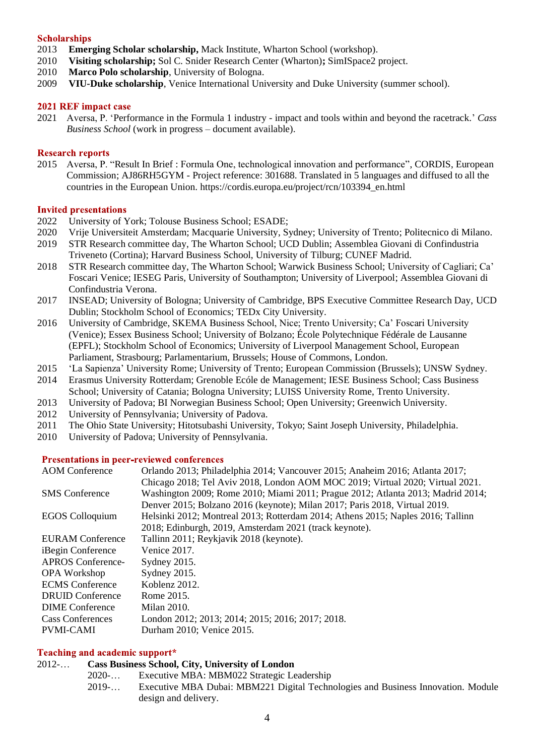#### **Scholarships**

- 2013 **Emerging Scholar scholarship,** Mack Institute, Wharton School (workshop).
- 2010 **Visiting scholarship;** Sol C. Snider Research Center (Wharton)**;** SimISpace2 project.
- 2010 **Marco Polo scholarship**, University of Bologna.
- 2009 **VIU-Duke scholarship**, Venice International University and Duke University (summer school).

#### 2021 REF impact case

2021 Aversa, P. 'Performance in the Formula 1 industry - impact and tools within and beyond the racetrack.' *Cass Business School* (work in progress – document available).

#### **Research reports**

2015 Aversa, P. "Result In Brief : Formula One, technological innovation and performance", CORDIS, European Commission; AJ86RH5GYM - Project reference: 301688. Translated in 5 languages and diffused to all the countries in the European Union. https://cordis.europa.eu/project/rcn/103394\_en.html

#### **Invited presentations**

- 2022 University of York; Tolouse Business School; ESADE;
- 2020 Vrije Universiteit Amsterdam; Macquarie University, Sydney; University of Trento; Politecnico di Milano.
- 2019 STR Research committee day, The Wharton School; UCD Dublin; Assemblea Giovani di Confindustria Triveneto (Cortina); Harvard Business School, University of Tilburg; CUNEF Madrid.
- 2018 STR Research committee day, The Wharton School; Warwick Business School; University of Cagliari; Ca' Foscari Venice; IESEG Paris, University of Southampton; University of Liverpool; Assemblea Giovani di Confindustria Verona.
- 2017 INSEAD; University of Bologna; University of Cambridge, BPS Executive Committee Research Day, UCD Dublin; Stockholm School of Economics; TEDx City University.
- 2016 University of Cambridge, SKEMA Business School, Nice; Trento University; Ca' Foscari University (Venice); Essex Business School; University of Bolzano; École Polytechnique Fédérale de Lausanne (EPFL); Stockholm School of Economics; University of Liverpool Management School, European Parliament, Strasbourg; Parlamentarium, Brussels; House of Commons, London.
- 2015 'La Sapienza' University Rome; University of Trento; European Commission (Brussels); UNSW Sydney.
- 2014 Erasmus University Rotterdam; Grenoble Ecóle de Management; IESE Business School; Cass Business School; University of Catania; Bologna University; LUISS University Rome, Trento University.
- 2013 University of Padova; BI Norwegian Business School; Open University; Greenwich University.
- 2012 University of Pennsylvania; University of Padova.
- 2011 The Ohio State University; Hitotsubashi University, Tokyo; Saint Joseph University, Philadelphia.
- 2010 University of Padova; University of Pennsylvania.

#### **Presentations in peer-reviewed conferences**

| Orlando 2013; Philadelphia 2014; Vancouver 2015; Anaheim 2016; Atlanta 2017;<br>Chicago 2018; Tel Aviv 2018, London AOM MOC 2019; Virtual 2020; Virtual 2021. |
|---------------------------------------------------------------------------------------------------------------------------------------------------------------|
| Washington 2009; Rome 2010; Miami 2011; Prague 2012; Atlanta 2013; Madrid 2014;                                                                               |
| Denver 2015; Bolzano 2016 (keynote); Milan 2017; Paris 2018, Virtual 2019.                                                                                    |
| Helsinki 2012; Montreal 2013; Rotterdam 2014; Athens 2015; Naples 2016; Tallinn                                                                               |
| 2018; Edinburgh, 2019, Amsterdam 2021 (track keynote).                                                                                                        |
| Tallinn 2011; Reykjavik 2018 (keynote).                                                                                                                       |
| Venice 2017.                                                                                                                                                  |
| Sydney 2015.                                                                                                                                                  |
| Sydney 2015.                                                                                                                                                  |
| Koblenz 2012.                                                                                                                                                 |
| Rome 2015.                                                                                                                                                    |
| Milan 2010.                                                                                                                                                   |
| London 2012; 2013; 2014; 2015; 2016; 2017; 2018.                                                                                                              |
| Durham 2010; Venice 2015.                                                                                                                                     |
|                                                                                                                                                               |

#### Teaching and academic support\*

#### 2012-… **Cass Business School, City, University of London**

- 2020-… Executive MBA: MBM022 Strategic Leadership
- 2019-… Executive MBA Dubai: MBM221 Digital Technologies and Business Innovation. Module design and delivery.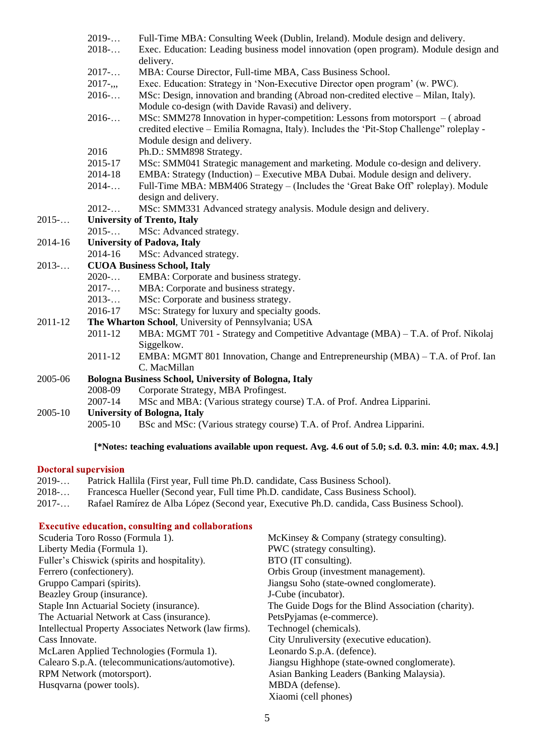- 2019-… Full-Time MBA: Consulting Week (Dublin, Ireland). Module design and delivery.
- 2018-… Exec. Education: Leading business model innovation (open program). Module design and delivery.
- 2017-… MBA: Course Director, Full-time MBA, Cass Business School.
- 2017-,,, Exec. Education: Strategy in 'Non-Executive Director open program' (w. PWC).
- 2016-… MSc: Design, innovation and branding (Abroad non-credited elective Milan, Italy). Module co-design (with Davide Ravasi) and delivery.
- 2016-… MSc: SMM278 Innovation in hyper-competition: Lessons from motorsport ( abroad credited elective – Emilia Romagna, Italy). Includes the 'Pit-Stop Challenge" roleplay - Module design and delivery.
- 2016 Ph.D.: SMM898 Strategy.
- 2015-17 MSc: SMM041 Strategic management and marketing. Module co-design and delivery.
- 2014-18 EMBA: Strategy (Induction) Executive MBA Dubai. Module design and delivery.
- 2014-… Full-Time MBA: MBM406 Strategy (Includes the 'Great Bake Off' roleplay). Module design and delivery.
- 2012-… MSc: SMM331 Advanced strategy analysis. Module design and delivery.
- 2015-… **University of Trento, Italy**
	- 2015-… MSc: Advanced strategy.

# 2014-16 **University of Padova, Italy**

2014-16 MSc: Advanced strategy.

## 2013-… **CUOA Business School, Italy**

- 2020-… EMBA: Corporate and business strategy.
- 2017-… MBA: Corporate and business strategy.
- 2013-… MSc: Corporate and business strategy.
- 2016-17 MSc: Strategy for luxury and specialty goods.
- 2011-12 **The Wharton School**, University of Pennsylvania; USA
	- 2011-12 MBA: MGMT 701 Strategy and Competitive Advantage (MBA) T.A. of Prof. Nikolaj Siggelkow.
	- 2011-12 EMBA: MGMT 801 Innovation, Change and Entrepreneurship (MBA) T.A. of Prof. Ian C. MacMillan

## 2005-06 **Bologna Business School, University of Bologna, Italy**

- 2008-09 Corporate Strategy, MBA Profingest.
- 2007-14 MSc and MBA: (Various strategy course) T.A. of Prof. Andrea Lipparini.

#### 2005-10 **University of Bologna, Italy**

2005-10 BSc and MSc: (Various strategy course) T.A. of Prof. Andrea Lipparini.

#### **[\*Notes: teaching evaluations available upon request. Avg. 4.6 out of 5.0; s.d. 0.3. min: 4.0; max. 4.9.]**

#### **Doctoral supervision**

- 2019-… Patrick Hallila (First year, Full time Ph.D. candidate, Cass Business School).
- 2018-… Francesca Hueller (Second year, Full time Ph.D. candidate, Cass Business School).
- 2017-… Rafael Ramírez de Alba López (Second year, Executive Ph.D. candida, Cass Business School).

#### **Executive education, consulting and collaborations**

| Scuderia Toro Rosso (Formula 1).                      | McKinsey & Company (strategy consulting).           |
|-------------------------------------------------------|-----------------------------------------------------|
| Liberty Media (Formula 1).                            | PWC (strategy consulting).                          |
| Fuller's Chiswick (spirits and hospitality).          | BTO (IT consulting).                                |
| Ferrero (confectionery).                              | Orbis Group (investment management).                |
| Gruppo Campari (spirits).                             | Jiangsu Soho (state-owned conglomerate).            |
| Beazley Group (insurance).                            | J-Cube (incubator).                                 |
| Staple Inn Actuarial Society (insurance).             | The Guide Dogs for the Blind Association (charity). |
| The Actuarial Network at Cass (insurance).            | PetsPyjamas (e-commerce).                           |
| Intellectual Property Associates Network (law firms). | Technogel (chemicals).                              |
| Cass Innovate.                                        | City Unruliversity (executive education).           |
| McLaren Applied Technologies (Formula 1).             | Leonardo S.p.A. (defence).                          |
| Calearo S.p.A. (telecommunications/automotive).       | Jiangsu Highhope (state-owned conglomerate).        |
| RPM Network (motorsport).                             | Asian Banking Leaders (Banking Malaysia).           |
| Husqvarna (power tools).                              | MBDA (defense).                                     |
|                                                       | Xiaomi (cell phones)                                |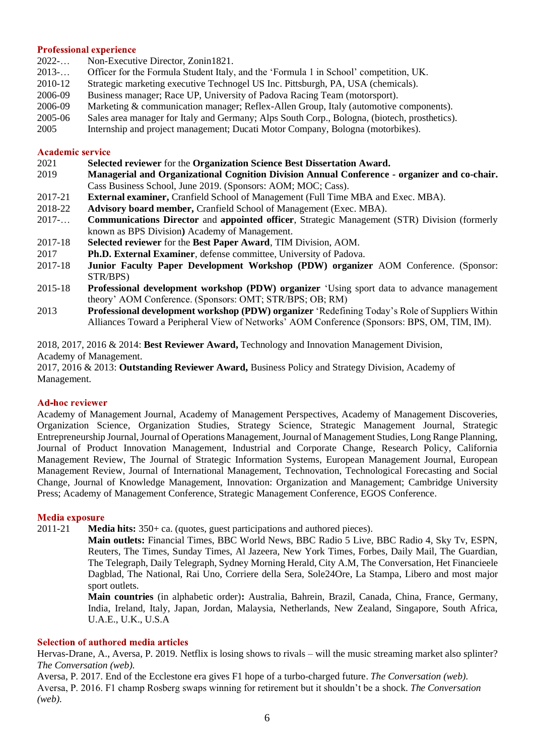#### **Professional experience**

- 2022-… Non-Executive Director, Zonin1821.
- 2013-… Officer for the Formula Student Italy, and the 'Formula 1 in School' competition, UK.
- 2010-12 Strategic marketing executive Technogel US Inc. Pittsburgh, PA, USA (chemicals).
- 2006-09 Business manager; Race UP, University of Padova Racing Team (motorsport).
- 2006-09 Marketing & communication manager; Reflex-Allen Group, Italy (automotive components).
- 2005-06 Sales area manager for Italy and Germany; Alps South Corp., Bologna, (biotech, prosthetics).
- 2005 Internship and project management; Ducati Motor Company, Bologna (motorbikes).

#### **Academic service**

- 2021 **Selected reviewer** for the **Organization Science Best Dissertation Award.**
- 2019 **Managerial and Organizational Cognition Division Annual Conference - organizer and co-chair.**  Cass Business School, June 2019. (Sponsors: AOM; MOC; Cass).
- 2017-21 **External examiner,** Cranfield School of Management (Full Time MBA and Exec. MBA).
- 2018-22 **Advisory board member,** Cranfield School of Management (Exec. MBA).
- 2017-… **Communications Director** and **appointed officer**, Strategic Management (STR) Division (formerly known as BPS Division**)** Academy of Management.
- 2017-18 **Selected reviewer** for the **Best Paper Award**, TIM Division, AOM.
- 2017 **Ph.D. External Examiner**, defense committee, University of Padova.
- 2017-18 **Junior Faculty Paper Development Workshop (PDW) organizer** AOM Conference. (Sponsor: STR/BPS)
- 2015-18 **Professional development workshop (PDW) organizer** 'Using sport data to advance management theory' AOM Conference. (Sponsors: OMT; STR/BPS; OB; RM)
- 2013 **Professional development workshop (PDW) organizer** 'Redefining Today's Role of Suppliers Within Alliances Toward a Peripheral View of Networks' AOM Conference (Sponsors: BPS, OM, TIM, IM).

2018, 2017, 2016 & 2014: **Best Reviewer Award,** Technology and Innovation Management Division, Academy of Management.

2017, 2016 & 2013: **Outstanding Reviewer Award,** Business Policy and Strategy Division, Academy of Management.

#### **Ad-hoc reviewer**

Academy of Management Journal, Academy of Management Perspectives, Academy of Management Discoveries, Organization Science, Organization Studies, Strategy Science, Strategic Management Journal, Strategic Entrepreneurship Journal, Journal of Operations Management, Journal of Management Studies, Long Range Planning, Journal of Product Innovation Management, Industrial and Corporate Change, Research Policy, California Management Review, The Journal of Strategic Information Systems, European Management Journal, European Management Review, Journal of International Management, Technovation, Technological Forecasting and Social Change, Journal of Knowledge Management, Innovation: Organization and Management; Cambridge University Press; Academy of Management Conference, Strategic Management Conference, EGOS Conference.

#### **Media exposure**

2011-21 **Media hits:** 350+ ca. (quotes, guest participations and authored pieces).

**Main outlets:** Financial Times, BBC World News, BBC Radio 5 Live, BBC Radio 4, Sky Tv, ESPN, Reuters, The Times, Sunday Times, Al Jazeera, New York Times, Forbes, Daily Mail, The Guardian, The Telegraph, Daily Telegraph, Sydney Morning Herald, City A.M, The Conversation, Het Financieele Dagblad, The National, Rai Uno, Corriere della Sera, Sole24Ore, La Stampa, Libero and most major sport outlets.

**Main countries** (in alphabetic order)**:** Australia, Bahrein, Brazil, Canada, China, France, Germany, India, Ireland, Italy, Japan, Jordan, Malaysia, Netherlands, New Zealand, Singapore, South Africa, U.A.E., U.K., U.S.A

#### **Selection of authored media articles**

Hervas-Drane, A., Aversa, P. 2019. Netflix is losing shows to rivals – will the music streaming market also splinter? *The Conversation (web).*

Aversa, P. 2017. End of the Ecclestone era gives F1 hope of a turbo-charged future. *The Conversation (web).*  Aversa, P. 2016. F1 champ Rosberg swaps winning for retirement but it shouldn't be a shock. *The Conversation (web).*